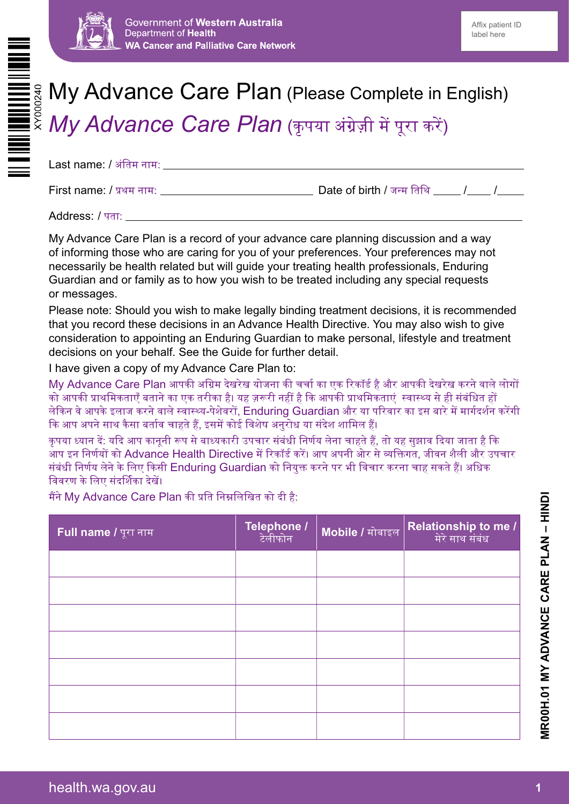



# My Advance Care Plan (Please Complete in English)

*My Advance Care Plan (कृपया अंग्रेज़ी में पूरा करें)* 

Last name: / अंतिम नाम:

First name: / प्रथम नाम: Date of birth / जन्म तिथि / /

Address: / पता:

My Advance Care Plan is a record of your advance care planning discussion and a way of informing those who are caring for you of your preferences. Your preferences may not necessarily be health related but will guide your treating health professionals, Enduring Guardian and or family as to how you wish to be treated including any special requests or messages.

Please note: Should you wish to make legally binding treatment decisions, it is recommended that you record these decisions in an Advance Health Directive. You may also wish to give consideration to appointing an Enduring Guardian to make personal, lifestyle and treatment decisions on your behalf. See the Guide for further detail.

I have given a copy of my Advance Care Plan to:

My Advance Care Plan आपकी अग्रिम देखरेख योजना की चर्चा का एक रिकॉर्ड है और आपकी देखरेख करने वाले लोगों को आपकी प्राथमिकताएँ बताने का एक तरीका है। यह ज़रूरी नहीं है कि आपकी प्राथमिकताएं स्वास्थ्य से ही संबंधित हों लेकिन वे आपके इलाज करने वाले स्वास्थ्य-पेशेवरों, Enduring Guardian और या परिवार का इस बारे में मार्गदर्शन करेंगी कि आप अपने साथ कैसा बर्ताव चाहते हैं, इसमें कोई विशेष अनुरोध या संदेश शामिल हैं।

कृ पया ध्यान दें: यदि आप कानूनी रूप से बाध्यकारी उपचार संबंधी निर्णय लेना चाहते हैं, तो यह सुझाव दिया जाता है कि आप इन निर्णयों को Advance Health Directive में रिकॉर्ड करें। आप अपनी ओर से व्यक्तिगत, जीवन शैली और उपचार संबंधी निर्णय लेने के लिए किसी Enduring Guardian को नियुक्त करने पर भी विचार करना चाह सकते हैं। अधिक विवरण के लिए संदर्शिका देखें।

मैंने My Advance Care Plan की प्रति निम्नलिखित को दी है:

| Full name / पूरा नाम | <b>Telephone /</b><br>टेलीफोन | Mobile / मोबाइल | <mark>  Relationship to me /</mark><br>            मेरे साथ संबंध |
|----------------------|-------------------------------|-----------------|-------------------------------------------------------------------|
|                      |                               |                 |                                                                   |
|                      |                               |                 |                                                                   |
|                      |                               |                 |                                                                   |
|                      |                               |                 |                                                                   |
|                      |                               |                 |                                                                   |
|                      |                               |                 |                                                                   |
|                      |                               |                 |                                                                   |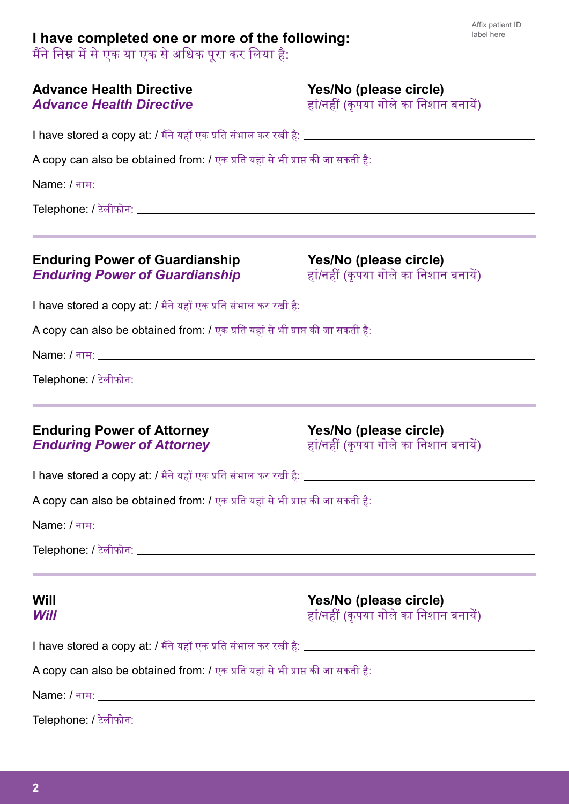## **I have completed one or more of the following:**

मैंने निम्न में से एक या एक से अधिक पूरा कर लिया है:

| <b>Advance Health Directive</b><br><b>Advance Health Directive</b>             | Yes/No (please circle)<br>हां/नहीं (कृपया गोले का निशान बनायें)                                                                                                                         |
|--------------------------------------------------------------------------------|-----------------------------------------------------------------------------------------------------------------------------------------------------------------------------------------|
|                                                                                |                                                                                                                                                                                         |
| A copy can also be obtained from: / एक प्रति यहां से भी प्राप्त की जा सकती है: |                                                                                                                                                                                         |
|                                                                                |                                                                                                                                                                                         |
|                                                                                | $\blacksquare$ Telephone: / टेलीफोन: $\blacksquare$                                                                                                                                     |
| <b>Enduring Power of Guardianship</b><br><b>Enduring Power of Guardianship</b> | <u> 1989 - Andrea Santana, amerikana menyebarkan banyak di sebagai banyak di sebagai banyak di sebagai banyak di</u><br>Yes/No (please circle)<br>हां/नहीं (कृपया गोले का निशान बनायें) |
|                                                                                |                                                                                                                                                                                         |
| A copy can also be obtained from: / एक प्रति यहां से भी प्राप्त की जा सकती है: |                                                                                                                                                                                         |
|                                                                                |                                                                                                                                                                                         |
|                                                                                |                                                                                                                                                                                         |
| <b>Enduring Power of Attorney</b><br><b>Enduring Power of Attorney</b>         | Yes/No (please circle)<br>हां/नहीं (कृपया गोले का निशान बनायें)                                                                                                                         |
|                                                                                |                                                                                                                                                                                         |
| A copy can also be obtained from: / एक प्रति यहां से भी प्राप्त की जा सकती है: |                                                                                                                                                                                         |
|                                                                                | Name: / नाम: <u>पर प्राप्त कर प्राप्त कर</u> संस्था के संस्था कर संस्था के संस्था कर संस्था कर संस्था कर संस्था कर संस्था                                                               |
|                                                                                | ,我们也不能会在这里,我们的人们就会在这里,我们也不会在这里,我们也不会在这里,我们也不会在这里,我们也不会在这里,我们也不会在这里,我们也不会在这里,我们也不                                                                                                        |
| Will<br>Will                                                                   | Yes/No (please circle)<br>हां/नहीं (कृपया गोले का निशान बनायें)                                                                                                                         |
|                                                                                |                                                                                                                                                                                         |
| A copy can also be obtained from: / एक प्रति यहां से भी प्राप्त की जा सकती है: |                                                                                                                                                                                         |
|                                                                                |                                                                                                                                                                                         |
|                                                                                |                                                                                                                                                                                         |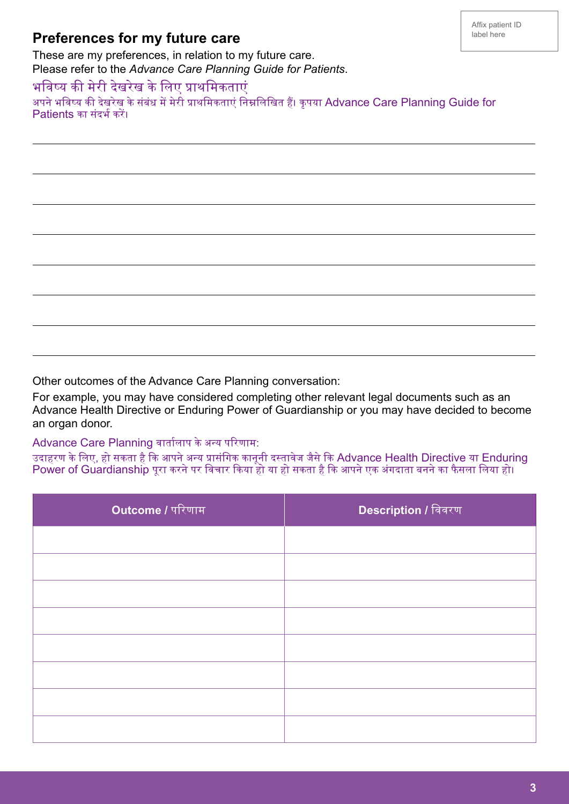### **Preferences for my future care**

These are my preferences, in relation to my future care. Please refer to the *Advance Care Planning Guide for Patients*.

#### भविष्य की मेरी देखरेख के लिए प्राथमिकताएं

 $\overline{a}$ 

J

 $\overline{a}$ 

J

 $\overline{a}$ 

J

 $\overline{a}$ 

J

अपने भविष्य की देखरेख के संबंध में मेरी प्राथमिकताएं निम्नलिखित हैं। कृपया Advance Care Planning Guide for Patients का संदर्भ करें।

Other outcomes of the Advance Care Planning conversation:

For example, you may have considered completing other relevant legal documents such as an Advance Health Directive or Enduring Power of Guardianship or you may have decided to become an organ donor.

Advance Care Planning वार्तालाप के अन्य परिणाम:

उदाहरण के लिए, हो सकता है कि आपने अन्य प्रासंगिक कानूनी दस्तावेज जैसे कि Advance Health Directive या Enduring Power of Guardianship पूरा करने पर विचार किया हो या हो सकता है कि आपने एक अंगदाता बनने का फैसला लिया हो।

| Outcome / परिणाम | <mark>Description /</mark> विवरण |
|------------------|----------------------------------|
|                  |                                  |
|                  |                                  |
|                  |                                  |
|                  |                                  |
|                  |                                  |
|                  |                                  |
|                  |                                  |
|                  |                                  |